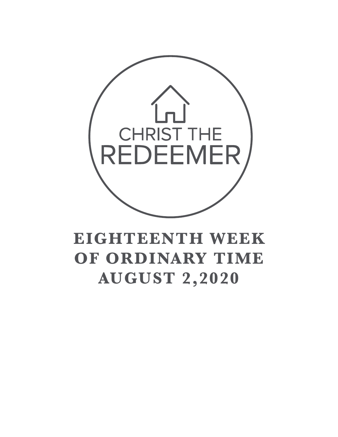

# **EIGHTEENTH WEEK OF ORDINARY TIME AUGUST 2,2020**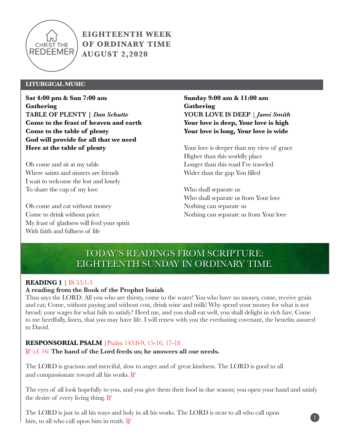

**EIGHTEENTH WEEK OF ORDINARY TIME AUGUST 2,2020**

#### **LITURGICAL MUSIC**

**Sat 4:00 pm & Sun 7:00 am Gathering TABLE OF PLENTY |** *Dan Schutte* **Come to the feast of heaven and earth Come to the table of plenty God will provide for all that we need Here at the table of plenty**

Oh come and sit at my table Where saints and sinners are friends I wait to welcome the lost and lonely To share the cup of my love

Oh come and eat without money Come to drink without price My feast of gladness will feed your spirit With faith and fullness of life

**Sunday 9:00 am & 11:00 am Gathering YOUR LOVE IS DEEP** | *Jami Smith*  **Your love is deep, Your love is high Your love is long, Your love is wide**

Your love is deeper than my view of grace Higher than this worldly place Longer than this road I've traveled Wider than the gap You filled

Who shall separate us Who shall separate us from Your love Nothing can separate us Nothing can separate us from Your love

# TODAY'S READINGS FROM SCRIPTURE: EIGHTEENTH SUNDAY IN ORDINARY TIME

## **READING 1** | IS 55:1-3

#### **A reading from the Book of the Prophet Isaiah**

Thus says the LORD: All you who are thirsty, come to the water! You who have no money, come, receive grain and eat; Come, without paying and without cost, drink wine and milk! Why spend your money for what is not bread; your wages for what fails to satisfy? Heed me, and you shall eat well, you shall delight in rich fare. Come to me heedfully, listen, that you may have life. I will renew with you the everlasting covenant, the benefits assured to David.

## **RESPONSORIAL PSALM** |Psalm 145:8-9, 15-16, 17-18

#### R (cf. 16) **The hand of the Lord feeds us; he answers all our needs.**

The LORD is gracious and merciful, slow to anger and of great kindness. The LORD is good to all and compassionate toward all his works.  $\mathbb{R}^7$ 

The eyes of all look hopefully to you, and you give them their food in due season; you open your hand and satisfy the desire of every living thing.  $\mathbb{R}^7$ 

The LORD is just in all his ways and holy in all his works. The LORD is near to all who call upon him, to all who call upon him in truth.  $\cancel{R}$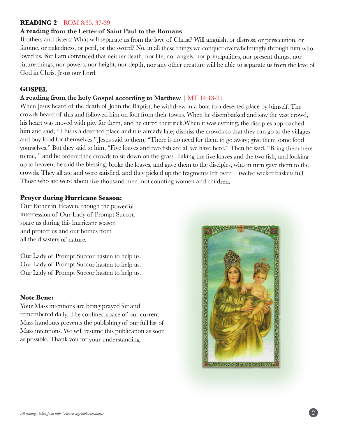## **READING 2** | ROM 8:35, 37-39

## **A reading from the Letter of Saint Paul to the Romans**

Brothers and sisters: What will separate us from the love of Christ? Will anguish, or distress, or persecution, or famine, or nakedness, or peril, or the sword? No, in all these things we conquer overwhelmingly through him who loved us. For I am convinced that neither death, nor life, nor angels, nor principalities, nor present things, nor future things, nor powers, nor height, nor depth, nor any other creature will be able to separate us from the love of God in Christ Jesus our Lord.

#### **GOSPEL**

#### **A reading from the holy Gospel according to Matthew** | MT 14:13-21

When Jesus heard of the death of John the Baptist, he withdrew in a boat to a deserted place by himself. The crowds heard of this and followed him on foot from their towns. When he disembarked and saw the vast crowd, his heart was moved with pity for them, and he cured their sick.When it was evening, the disciples approached him and said, "This is a deserted place and it is already late; dismiss the crowds so that they can go to the villages and buy food for themselves." Jesus said to them, "There is no need for them to go away; give them some food yourselves." But they said to him, "Five loaves and two fish are all we have here." Then he said, "Bring them here to me, " and he ordered the crowds to sit down on the grass. Taking the five loaves and the two fish, and looking up to heaven, he said the blessing, broke the loaves, and gave them to the disciples, who in turn gave them to the crowds. They all ate and were satisfied, and they picked up the fragments left over— twelve wicker baskets full. Those who ate were about five thousand men, not counting women and children.

#### **Prayer during Hurricane Season:**

Our Father in Heaven, though the powerful intercession of Our Lady of Prompt Succor, spare us during this hurricane season and protect us and our homes from all the disasters of nature.

Our Lady of Prompt Succor hasten to help us. Our Lady of Prompt Succor hasten to help us. Our Lady of Prompt Succor hasten to help us.

#### **Note Bene:**

Your Mass intentions are being prayed for and remembered daily. The confined space of our current Mass handouts prevents the publishing of our full list of Mass intentions. We will resume this publication as soon as possible. Thank you for your understanding.

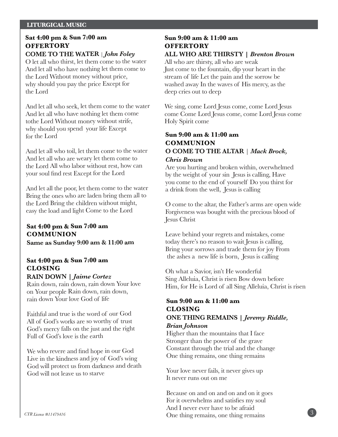#### **LITURGICAL MUSIC**

# **Sat 4:00 pm & Sun 7:00 am OFFERTORY**

**COME TO THE WATER** | *John Foley* 

O let all who thirst, let them come to the water And let all who have nothing let them come to the Lord Without money without price, why should you pay the price Except for the Lord

And let all who seek, let them come to the water And let all who have nothing let them come tothe Lord Without money without strife, why should you spend your life Except for the Lord

And let all who toil, let them come to the water And let all who are weary let them come to the Lord All who labor without rest, how can your soul find rest Except for the Lord

And let all the poor, let them come to the water Bring the ones who are laden bring them all to the Lord Bring the children without might, easy the load and light Come to the Lord

## **Sat 4:00 pm & Sun 7:00 am COMMUNION**

**Same as Sunday 9:00 am & 11:00 am**

## **Sat 4:00 pm & Sun 7:00 am CLOSING**

#### **RAIN DOWN |** *Jaime Cortez*

Rain down, rain down, rain down Your love on Your people Rain down, rain down, rain down Your love God of life

Faithful and true is the word of our God All of God's works are so worthy of trust God's mercy falls on the just and the right Full of God's love is the earth

We who revere and find hope in our God Live in the kindness and joy of God's wing God will protect us from darkness and death God will not leave us to starve

# **Sun 9:00 am & 11:00 am OFFERTORY**

## **ALL WHO ARE THIRSTY |** *Brenton Brown*

All who are thirsty, all who are weak Just come to the fountain, dip your heart in the stream of life Let the pain and the sorrow be washed away In the waves of His mercy, as the deep cries out to deep

We sing, come Lord Jesus come, come Lord Jesus come Come Lord Jesus come, come Lord Jesus come Holy Spirit come

# **Sun 9:00 am & 11:00 am COMMUNION O COME TO THE ALTAR** | *Mack Brock,*

#### *Chris Brown*

Are you hurting and broken within, overwhelmed by the weight of your sin Jesus is calling, Have you come to the end of yourself Do you thirst for a drink from the well, Jesus is calling

O come to the altar, the Father's arms are open wide Forgiveness was bought with the precious blood of Jesus Christ

Leave behind your regrets and mistakes, come today there's no reason to wait Jesus is calling, Bring your sorrows and trade them for joy From the ashes a new life is born, Jesus is calling

Oh what a Savior, isn't He wonderful Sing Alleluia, Christ is risen Bow down before Him, for He is Lord of all Sing Alleluia, Christ is risen

### **Sun 9:00 am & 11:00 am CLOSING ONE THING REMAINS |** *Jeremy Riddle, Brian Johnson*

Higher than the mountains that I face Stronger than the power of the grave Constant through the trial and the change One thing remains, one thing remains

Your love never fails, it never gives up It never runs out on me

Because on and on and on and on it goes For it overwhelms and satisfies my soul And I never ever have to be afraid One thing remains, one thing remains *CTR License #11479416*

3